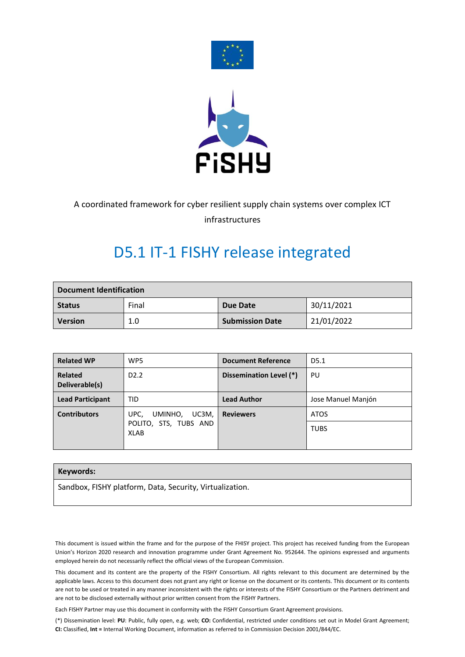



### A coordinated framework for cyber resilient supply chain systems over complex ICT

infrastructures

## D5.1 IT-1 FISHY release integrated

| <b>Document Identification</b> |       |                        |            |  |  |
|--------------------------------|-------|------------------------|------------|--|--|
| <b>Status</b>                  | Final | <b>Due Date</b>        | 30/11/2021 |  |  |
| <b>Version</b>                 | 1.0   | <b>Submission Date</b> | 21/01/2022 |  |  |

| <b>Related WP</b>                | WP5                                                                                  | <b>Document Reference</b> | D <sub>5.1</sub>   |  |
|----------------------------------|--------------------------------------------------------------------------------------|---------------------------|--------------------|--|
| <b>Related</b><br>Deliverable(s) | D <sub>2.2</sub>                                                                     | Dissemination Level (*)   | PU                 |  |
| <b>Lead Participant</b>          | <b>TID</b>                                                                           | <b>Lead Author</b>        | Jose Manuel Manjón |  |
| <b>Contributors</b>              | <b>Reviewers</b><br>UC3M,<br>UPC,<br>UMINHO,<br>POLITO, STS, TUBS AND<br><b>XLAB</b> |                           | <b>ATOS</b>        |  |
|                                  |                                                                                      |                           | <b>TUBS</b>        |  |

#### **Keywords:**

Sandbox, FISHY platform, Data, Security, Virtualization.

This document is issued within the frame and for the purpose of the FHISY project. This project has received funding from the European Union's Horizon 2020 research and innovation programme under Grant Agreement No. 952644. The opinions expressed and arguments employed herein do not necessarily reflect the official views of the European Commission.

This document and its content are the property of the FISHY Consortium. All rights relevant to this document are determined by the applicable laws. Access to this document does not grant any right or license on the document or its contents. This document or its contents are not to be used or treated in any manner inconsistent with the rights or interests of the FISHY Consortium or the Partners detriment and are not to be disclosed externally without prior written consent from the FISHY Partners.

Each FISHY Partner may use this document in conformity with the FISHY Consortium Grant Agreement provisions.

(\*) Dissemination level: **PU**: Public, fully open, e.g. web; **CO:** Confidential, restricted under conditions set out in Model Grant Agreement; **CI:** Classified, **Int =** Internal Working Document, information as referred to in Commission Decision 2001/844/EC.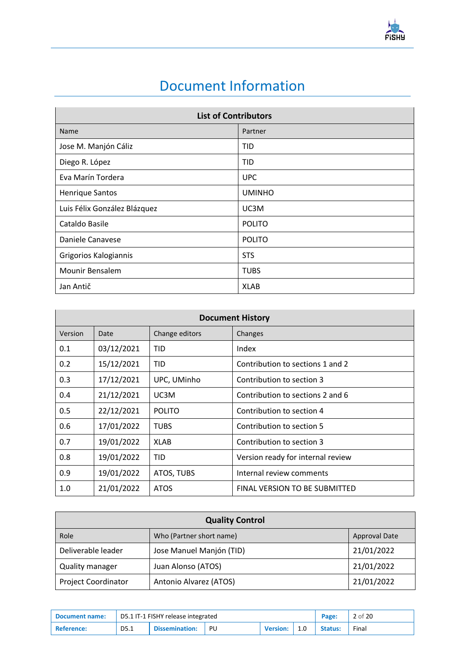

## Document Information

<span id="page-1-0"></span>

| <b>List of Contributors</b>  |               |  |  |  |
|------------------------------|---------------|--|--|--|
| Name                         | Partner       |  |  |  |
| Jose M. Manjón Cáliz         | TID           |  |  |  |
| Diego R. López               | TID           |  |  |  |
| Eva Marín Tordera            | <b>UPC</b>    |  |  |  |
| <b>Henrique Santos</b>       | <b>UMINHO</b> |  |  |  |
| Luis Félix González Blázquez | UC3M          |  |  |  |
| Cataldo Basile               | <b>POLITO</b> |  |  |  |
| Daniele Canavese             | <b>POLITO</b> |  |  |  |
| Grigorios Kalogiannis        | <b>STS</b>    |  |  |  |
| Mounir Bensalem              | <b>TUBS</b>   |  |  |  |
| Jan Antič                    | <b>XLAB</b>   |  |  |  |

|         | <b>Document History</b> |                |                                      |  |  |  |  |  |
|---------|-------------------------|----------------|--------------------------------------|--|--|--|--|--|
| Version | Date                    | Change editors | Changes                              |  |  |  |  |  |
| 0.1     | 03/12/2021              | TID            | Index                                |  |  |  |  |  |
| 0.2     | 15/12/2021              | TID            | Contribution to sections 1 and 2     |  |  |  |  |  |
| 0.3     | 17/12/2021              | UPC, UMinho    | Contribution to section 3            |  |  |  |  |  |
| 0.4     | 21/12/2021              | UC3M           | Contribution to sections 2 and 6     |  |  |  |  |  |
| 0.5     | 22/12/2021              | <b>POLITO</b>  | Contribution to section 4            |  |  |  |  |  |
| 0.6     | 17/01/2022              | <b>TUBS</b>    | Contribution to section 5            |  |  |  |  |  |
| 0.7     | 19/01/2022              | <b>XLAB</b>    | Contribution to section 3            |  |  |  |  |  |
| 0.8     | 19/01/2022              | TID            | Version ready for internal review    |  |  |  |  |  |
| 0.9     | 19/01/2022              | ATOS, TUBS     | Internal review comments             |  |  |  |  |  |
| 1.0     | 21/01/2022              | <b>ATOS</b>    | <b>FINAL VERSION TO BE SUBMITTED</b> |  |  |  |  |  |

| <b>Quality Control</b>     |                          |                      |  |  |
|----------------------------|--------------------------|----------------------|--|--|
| Role                       | Who (Partner short name) | <b>Approval Date</b> |  |  |
| Deliverable leader         | Jose Manuel Manjón (TID) | 21/01/2022           |  |  |
| <b>Quality manager</b>     | Juan Alonso (ATOS)       | 21/01/2022           |  |  |
| <b>Project Coordinator</b> | Antonio Alvarez (ATOS)   | 21/01/2022           |  |  |

| <b>Document name:</b> | D5.1 IT-1 FISHY release integrated |                       |    |                 |     | Page:          | 2 of 20 |
|-----------------------|------------------------------------|-----------------------|----|-----------------|-----|----------------|---------|
| <b>Reference:</b>     | D5.1                               | <b>Dissemination:</b> | PU | <b>Version:</b> | 1.0 | <b>Status:</b> | Final   |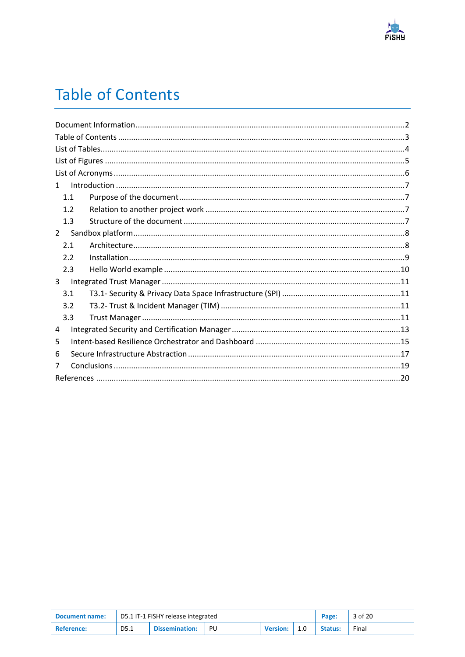

# <span id="page-2-0"></span>**Table of Contents**

| $\mathbf{1}$ |
|--------------|
| 1.1          |
| 1.2          |
| 1.3          |
| $2^{\circ}$  |
| 2.1          |
| 2.2          |
| 2.3          |
| 3            |
| 3.1          |
| 3.2          |
| 3.3          |
| 4            |
| 5            |
| 6            |
| 7            |
|              |

| <b>Document name:</b> | D5.1 IT-1 FISHY release integrated |                                                       |  |  |                | Page: | 3 of 20 |
|-----------------------|------------------------------------|-------------------------------------------------------|--|--|----------------|-------|---------|
| <b>Reference:</b>     | D5.1                               | <b>Dissemination:</b><br>PU<br>1.0<br><b>Version:</b> |  |  | <b>Status:</b> | Final |         |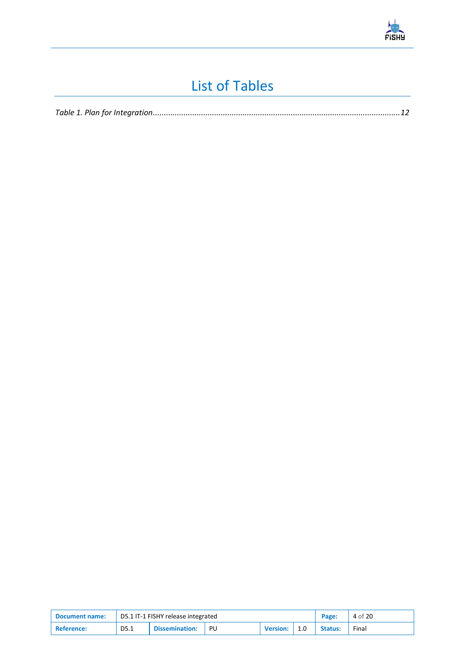

## List of Tables

<span id="page-3-0"></span>

|--|

| <b>Document name:</b> | D5.1 IT-1 FISHY release integrated |                                                |  |  |  | Page:   | 4 of 20 |
|-----------------------|------------------------------------|------------------------------------------------|--|--|--|---------|---------|
| <b>Reference:</b>     | D5.1                               | Dissemination:<br>PU<br><b>Version:</b><br>1.0 |  |  |  | Status: | Final   |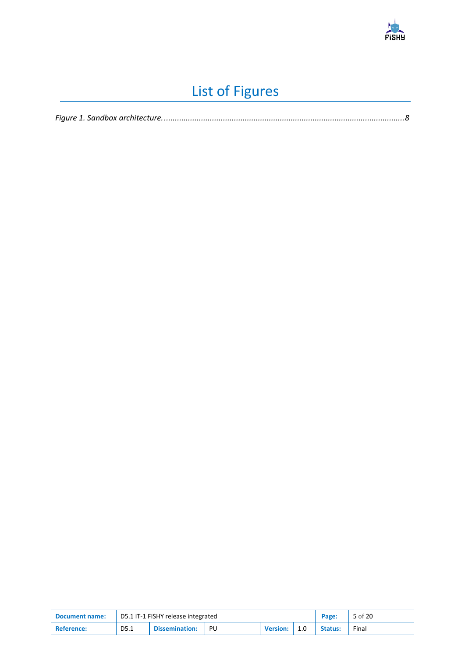

# List of Figures

<span id="page-4-0"></span>

|--|--|--|

| <b>Document name:</b> | D5.1 IT-1 FISHY release integrated |                                                       |  |  |  | Page:          | 5 of 20 |
|-----------------------|------------------------------------|-------------------------------------------------------|--|--|--|----------------|---------|
| <b>Reference:</b>     | D5.1                               | <b>Dissemination:</b><br>PU<br><b>Version:</b><br>1.0 |  |  |  | <b>Status:</b> | Final   |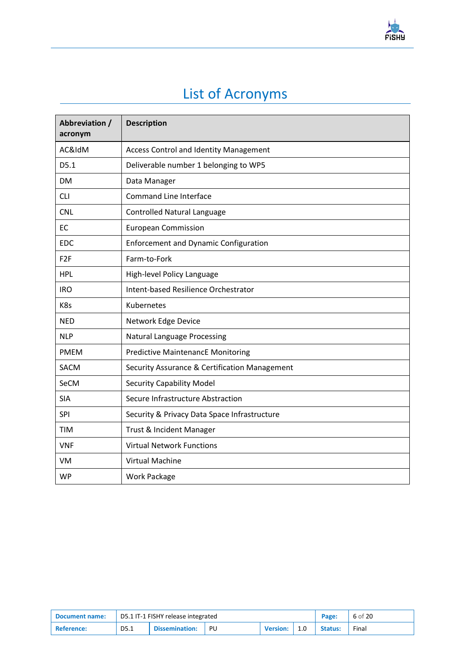

# List of Acronyms

<span id="page-5-0"></span>

| Abbreviation /<br>acronym | <b>Description</b>                            |
|---------------------------|-----------------------------------------------|
| AC&IdM                    | <b>Access Control and Identity Management</b> |
| D5.1                      | Deliverable number 1 belonging to WP5         |
| DM                        | Data Manager                                  |
| <b>CLI</b>                | <b>Command Line Interface</b>                 |
| <b>CNL</b>                | <b>Controlled Natural Language</b>            |
| <b>EC</b>                 | <b>European Commission</b>                    |
| <b>EDC</b>                | <b>Enforcement and Dynamic Configuration</b>  |
| F <sub>2F</sub>           | Farm-to-Fork                                  |
| <b>HPL</b>                | High-level Policy Language                    |
| <b>IRO</b>                | Intent-based Resilience Orchestrator          |
| K8s                       | Kubernetes                                    |
| <b>NED</b>                | Network Edge Device                           |
| <b>NLP</b>                | <b>Natural Language Processing</b>            |
| <b>PMEM</b>               | <b>Predictive MaintenancE Monitoring</b>      |
| <b>SACM</b>               | Security Assurance & Certification Management |
| <b>SeCM</b>               | <b>Security Capability Model</b>              |
| <b>SIA</b>                | Secure Infrastructure Abstraction             |
| SPI                       | Security & Privacy Data Space Infrastructure  |
| <b>TIM</b>                | Trust & Incident Manager                      |
| <b>VNF</b>                | <b>Virtual Network Functions</b>              |
| VM                        | Virtual Machine                               |
| <b>WP</b>                 | <b>Work Package</b>                           |

| <b>Document name:</b> | D5.1 IT-1 FISHY release integrated |                       |    |                 |     |                | 6 of 20 |
|-----------------------|------------------------------------|-----------------------|----|-----------------|-----|----------------|---------|
| <b>Reference:</b>     | D5.1                               | <b>Dissemination:</b> | PU | <b>Version:</b> | 1.0 | <b>Status:</b> | Final   |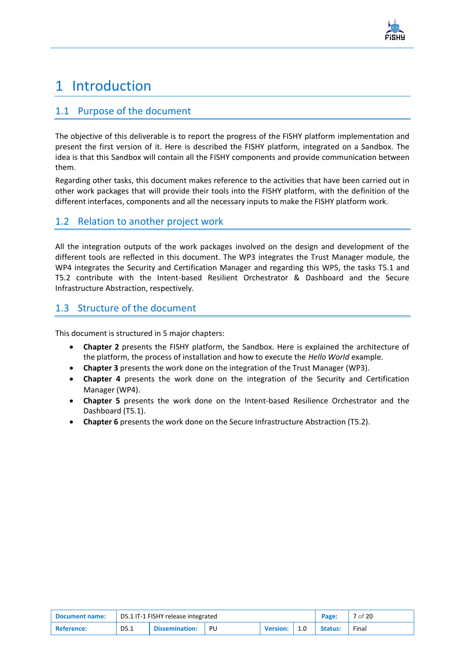

## <span id="page-6-0"></span>1 Introduction

#### <span id="page-6-1"></span>1.1 Purpose of the document

The objective of this deliverable is to report the progress of the FISHY platform implementation and present the first version of it. Here is described the FISHY platform, integrated on a Sandbox. The idea is that this Sandbox will contain all the FISHY components and provide communication between them.

Regarding other tasks, this document makes reference to the activities that have been carried out in other work packages that will provide their tools into the FISHY platform, with the definition of the different interfaces, components and all the necessary inputs to make the FISHY platform work.

#### <span id="page-6-2"></span>1.2 Relation to another project work

All the integration outputs of the work packages involved on the design and development of the different tools are reflected in this document. The WP3 integrates the Trust Manager module, the WP4 integrates the Security and Certification Manager and regarding this WP5, the tasks T5.1 and T5.2 contribute with the Intent-based Resilient Orchestrator & Dashboard and the Secure Infrastructure Abstraction, respectively.

#### <span id="page-6-3"></span>1.3 Structure of the document

This document is structured in 5 major chapters:

- **Chapter 2** presents the FISHY platform, the Sandbox. Here is explained the architecture of the platform, the process of installation and how to execute the *Hello World* example.
- **Chapter 3** presents the work done on the integration of the Trust Manager (WP3).
- **Chapter 4** presents the work done on the integration of the Security and Certification Manager (WP4).
- **Chapter 5** presents the work done on the Intent-based Resilience Orchestrator and the Dashboard (T5.1).
- **Chapter 6** presents the work done on the Secure Infrastructure Abstraction (T5.2).

| <b>Document name:</b> | D5.1 IT-1 FISHY release integrated |                       |    |                 |  |                | 7 of 20 |
|-----------------------|------------------------------------|-----------------------|----|-----------------|--|----------------|---------|
| <b>Reference:</b>     | D5.1                               | <b>Dissemination:</b> | PU | <b>Version:</b> |  | <b>Status:</b> | Final   |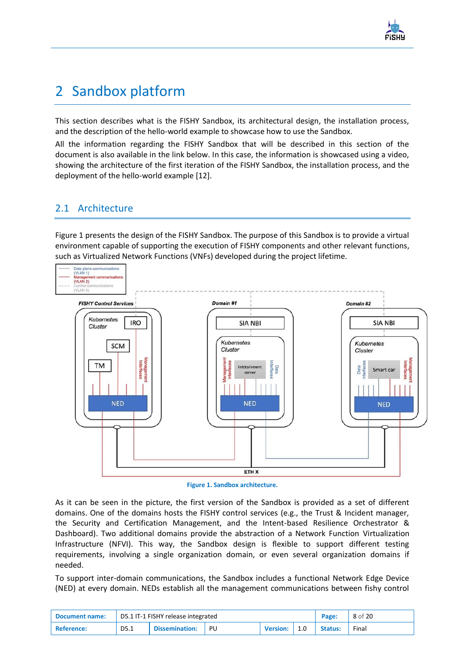

## <span id="page-7-0"></span>2 Sandbox platform

This section describes what is the FISHY Sandbox, its architectural design, the installation process, and the description of the hello-world example to showcase how to use the Sandbox.

All the information regarding the FISHY Sandbox that will be described in this section of the document is also available in the link below. In this case, the information is showcased using a video, showing the architecture of the first iteration of the FISHY Sandbox, the installation process, and the deployment of the hello-world example [\[12\].](#page-19-1)

### <span id="page-7-1"></span>2.1 Architecture

[Figure 1](#page-7-2) presents the design of the FISHY Sandbox. The purpose of this Sandbox is to provide a virtual environment capable of supporting the execution of FISHY components and other relevant functions, such as Virtualized Network Functions (VNFs) developed during the project lifetime.



**Figure 1. Sandbox architecture.**

<span id="page-7-2"></span>As it can be seen in the picture, the first version of the Sandbox is provided as a set of different domains. One of the domains hosts the FISHY control services (e.g., the Trust & Incident manager, the Security and Certification Management, and the Intent-based Resilience Orchestrator & Dashboard). Two additional domains provide the abstraction of a Network Function Virtualization Infrastructure (NFVI). This way, the Sandbox design is flexible to support different testing requirements, involving a single organization domain, or even several organization domains if needed.

To support inter-domain communications, the Sandbox includes a functional Network Edge Device (NED) at every domain. NEDs establish all the management communications between fishy control

| Document name:    |      | D5.1 IT-1 FISHY release integrated | Page: | 8 of 20         |     |                |       |
|-------------------|------|------------------------------------|-------|-----------------|-----|----------------|-------|
| <b>Reference:</b> | D5.1 | <b>Dissemination:</b>              | - PU  | <b>Version:</b> | 1.0 | <b>Status:</b> | Final |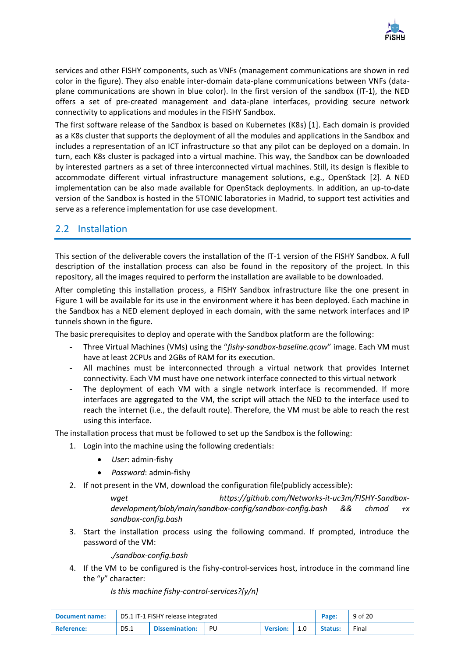

services and other FISHY components, such as VNFs (management communications are shown in red color in the figure). They also enable inter-domain data-plane communications between VNFs (dataplane communications are shown in blue color). In the first version of the sandbox (IT-1), the NED offers a set of pre-created management and data-plane interfaces, providing secure network connectivity to applications and modules in the FISHY Sandbox.

The first software release of the Sandbox is based on Kubernetes (K8s) [\[1\].](#page-19-2) Each domain is provided as a K8s cluster that supports the deployment of all the modules and applications in the Sandbox and includes a representation of an ICT infrastructure so that any pilot can be deployed on a domain. In turn, each K8s cluster is packaged into a virtual machine. This way, the Sandbox can be downloaded by interested partners as a set of three interconnected virtual machines. Still, its design is flexible to accommodate different virtual infrastructure management solutions, e.g., OpenStack [\[2\].](#page-19-3) A NED implementation can be also made available for OpenStack deployments. In addition, an up-to-date version of the Sandbox is hosted in the 5TONIC laboratories in Madrid, to support test activities and serve as a reference implementation for use case development.

#### <span id="page-8-0"></span>2.2 Installation

This section of the deliverable covers the installation of the IT-1 version of the FISHY Sandbox. A full description of the installation process can also be found in the repository of the project. In this repository, all the images required to perform the installation are available to be downloaded.

After completing this installation process, a FISHY Sandbox infrastructure like the one present in [Figure 1](#page-7-2) will be available for its use in the environment where it has been deployed. Each machine in the Sandbox has a NED element deployed in each domain, with the same network interfaces and IP tunnels shown in the figure.

The basic prerequisites to deploy and operate with the Sandbox platform are the following:

- Three Virtual Machines (VMs) using the "*fishy-sandbox-baseline.qcow*" image. Each VM must have at least 2CPUs and 2GBs of RAM for its execution.
- All machines must be interconnected through a virtual network that provides Internet connectivity. Each VM must have one network interface connected to this virtual network
- The deployment of each VM with a single network interface is recommended. If more interfaces are aggregated to the VM, the script will attach the NED to the interface used to reach the internet (i.e., the default route). Therefore, the VM must be able to reach the rest using this interface.

The installation process that must be followed to set up the Sandbox is the following:

- 1. Login into the machine using the following credentials:
	- *User*: admin-fishy
	- *Password*: admin-fishy
- 2. If not present in the VM, download the configuration file(publicly accessible):

*wget https://github.com/Networks-it-uc3m/FISHY-Sandboxdevelopment/blob/main/sandbox-config/sandbox-config.bash && chmod +x sandbox-config.bash*

3. Start the installation process using the following command. If prompted, introduce the password of the VM:

*./sandbox-config.bash*

4. If the VM to be configured is the fishy-control-services host, introduce in the command line the "*y*" character:

*Is this machine fishy-control-services?[y/n]*

| <b>Document name:</b> | D5.1 IT-1 FISHY release integrated |                       |    |                 |     |         | 9 of 20 |
|-----------------------|------------------------------------|-----------------------|----|-----------------|-----|---------|---------|
| <b>Reference:</b>     | D5.1                               | <b>Dissemination:</b> | PU | <b>Version:</b> | 1.0 | Status: | Final   |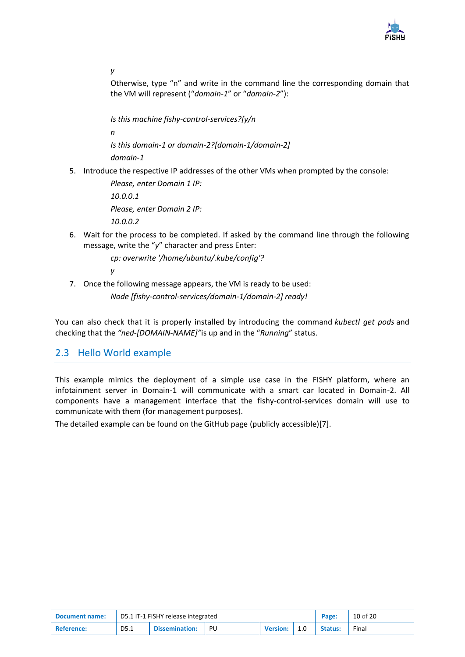

*y*

Otherwise, type "n" and write in the command line the corresponding domain that the VM will represent ("*domain-1*" or "*domain-2*"):

*Is this machine fishy-control-services?[y/n n Is this domain-1 or domain-2?[domain-1/domain-2] domain-1*

5. Introduce the respective IP addresses of the other VMs when prompted by the console:

*Please, enter Domain 1 IP: 10.0.0.1 Please, enter Domain 2 IP: 10.0.0.2*

6. Wait for the process to be completed. If asked by the command line through the following message, write the "*y*" character and press Enter:

*cp: overwrite '/home/ubuntu/.kube/config'?* 

*y*

7. Once the following message appears, the VM is ready to be used:

*Node [fishy-control-services/domain-1/domain-2] ready!*

You can also check that it is properly installed by introducing the command *kubectl get pods* and checking that the *"ned-[DOMAIN-NAME]"*is up and in the "*Running*" status.

#### <span id="page-9-0"></span>2.3 Hello World example

This example mimics the deployment of a simple use case in the FISHY platform, where an infotainment server in Domain-1 will communicate with a smart car located in Domain-2. All components have a management interface that the fishy-control-services domain will use to communicate with them (for management purposes).

The detailed example can be found on the GitHub page (publicly accessible[\)\[7\].](#page-19-4)

| <b>Document name:</b> | D5.1 IT-1 FISHY release integrated |                       |    |                 |     |         | 10 of 20 |
|-----------------------|------------------------------------|-----------------------|----|-----------------|-----|---------|----------|
| Reference:            | D5.1                               | <b>Dissemination:</b> | PU | <b>Version:</b> | 1.0 | Status: | Final    |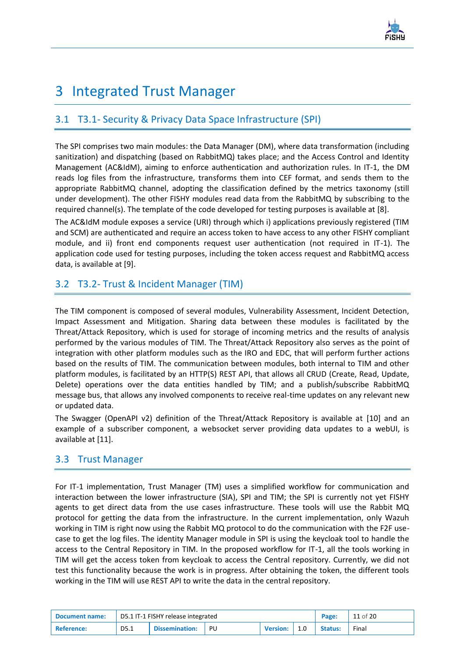

## <span id="page-10-0"></span>3 Integrated Trust Manager

#### <span id="page-10-1"></span>3.1 T3.1- Security & Privacy Data Space Infrastructure (SPI)

The SPI comprises two main modules: the Data Manager (DM), where data transformation (including sanitization) and dispatching (based on RabbitMQ) takes place; and the Access Control and Identity Management (AC&IdM), aiming to enforce authentication and authorization rules. In IT-1, the DM reads log files from the infrastructure, transforms them into CEF format, and sends them to the appropriate RabbitMQ channel, adopting the classification defined by the metrics taxonomy (still under development). The other FISHY modules read data from the RabbitMQ by subscribing to the required channel(s). The template of the code developed for testing purposes is available at [\[8\].](#page-19-5)

The AC&IdM module exposes a service (URI) through which i) applications previously registered (TIM and SCM) are authenticated and require an access token to have access to any other FISHY compliant module, and ii) front end components request user authentication (not required in IT-1). The application code used for testing purposes, including the token access request and RabbitMQ access data, is available at [\[9\].](#page-19-6)

### <span id="page-10-2"></span>3.2 T3.2- Trust & Incident Manager (TIM)

The TIM component is composed of several modules, Vulnerability Assessment, Incident Detection, Impact Assessment and Mitigation. Sharing data between these modules is facilitated by the Threat/Attack Repository, which is used for storage of incoming metrics and the results of analysis performed by the various modules of TIM. The Threat/Attack Repository also serves as the point of integration with other platform modules such as the IRO and EDC, that will perform further actions based on the results of TIM. The communication between modules, both internal to TIM and other platform modules, is facilitated by an HTTP(S) REST API, that allows all CRUD (Create, Read, Update, Delete) operations over the data entities handled by TIM; and a publish/subscribe RabbitMQ message bus, that allows any involved components to receive real-time updates on any relevant new or updated data.

The Swagger (OpenAPI v2) definition of the Threat/Attack Repository is available at [\[10\]](#page-19-7) and an example of a subscriber component, a websocket server providing data updates to a webUI, is available at [\[11\].](#page-19-8)

#### <span id="page-10-3"></span>3.3 Trust Manager

For IT-1 implementation, Trust Manager (TM) uses a simplified workflow for communication and interaction between the lower infrastructure (SIA), SPI and TIM; the SPI is currently not yet FISHY agents to get direct data from the use cases infrastructure. These tools will use the Rabbit MQ protocol for getting the data from the infrastructure. In the current implementation, only Wazuh working in TIM is right now using the Rabbit MQ protocol to do the communication with the F2F usecase to get the log files. The identity Manager module in SPI is using the keycloak tool to handle the access to the Central Repository in TIM. In the proposed workflow for IT-1, all the tools working in TIM will get the access token from keycloak to access the Central repository. Currently, we did not test this functionality because the work is in progress. After obtaining the token, the different tools working in the TIM will use REST API to write the data in the central repository.

| <b>Document name:</b> | D5.1 IT-1 FISHY release integrated |                |      |                 |     |                | 11 of 20 |
|-----------------------|------------------------------------|----------------|------|-----------------|-----|----------------|----------|
| <b>Reference:</b>     | D5.1                               | Dissemination: | - PU | <b>Version:</b> | 1.0 | <b>Status:</b> | Final    |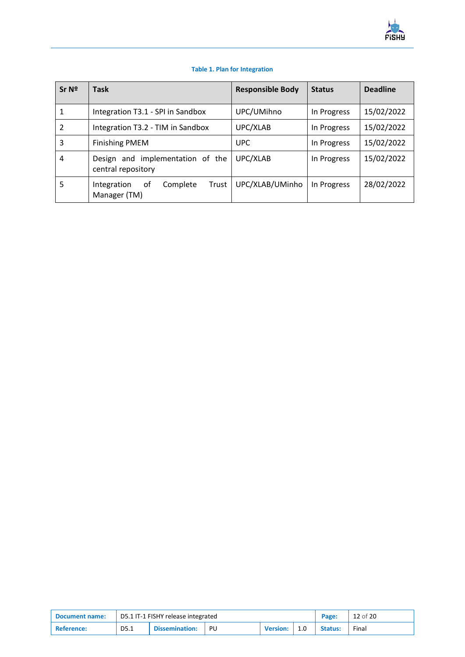

#### **Table 1. Plan for Integration**

<span id="page-11-0"></span>

| Sr <sub>Nº</sub> | <b>Task</b>                                            | <b>Responsible Body</b> | <b>Status</b> | <b>Deadline</b> |
|------------------|--------------------------------------------------------|-------------------------|---------------|-----------------|
| 1                | Integration T3.1 - SPI in Sandbox                      | UPC/UMihno              | In Progress   | 15/02/2022      |
| 2                | Integration T3.2 - TIM in Sandbox                      | UPC/XLAB                | In Progress   | 15/02/2022      |
| 3                | <b>Finishing PMEM</b>                                  | <b>UPC</b>              | In Progress   | 15/02/2022      |
| 4                | Design and implementation of the<br>central repository | UPC/XLAB                | In Progress   | 15/02/2022      |
| 5                | Complete<br>Trust<br>0f<br>Integration<br>Manager (TM) | UPC/XLAB/UMinho         | In Progress   | 28/02/2022      |

| <b>Document name:</b> | D5.1 IT-1 FISHY release integrated |                |    |                 |     |                | 12 of 20 |
|-----------------------|------------------------------------|----------------|----|-----------------|-----|----------------|----------|
| <b>Reference:</b>     | D5.1                               | Dissemination: | PU | <b>Version:</b> | 1.0 | <b>Status:</b> | Final    |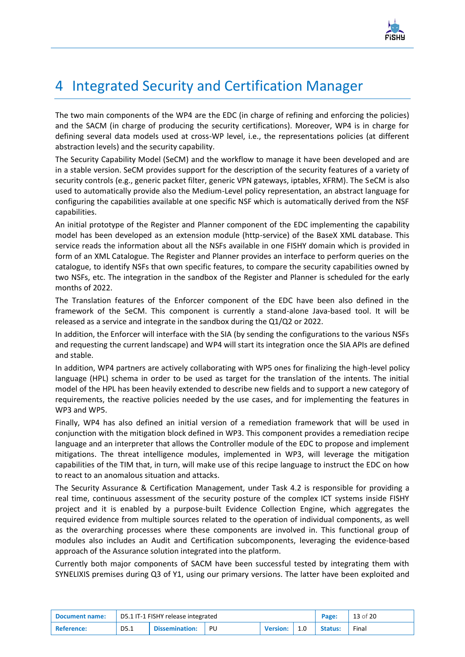

### <span id="page-12-0"></span>4 Integrated Security and Certification Manager

The two main components of the WP4 are the EDC (in charge of refining and enforcing the policies) and the SACM (in charge of producing the security certifications). Moreover, WP4 is in charge for defining several data models used at cross-WP level, i.e., the representations policies (at different abstraction levels) and the security capability.

The Security Capability Model (SeCM) and the workflow to manage it have been developed and are in a stable version. SeCM provides support for the description of the security features of a variety of security controls (e.g., generic packet filter, generic VPN gateways, iptables, XFRM). The SeCM is also used to automatically provide also the Medium-Level policy representation, an abstract language for configuring the capabilities available at one specific NSF which is automatically derived from the NSF capabilities.

An initial prototype of the Register and Planner component of the EDC implementing the capability model has been developed as an extension module (http-service) of the BaseX XML database. This service reads the information about all the NSFs available in one FISHY domain which is provided in form of an XML Catalogue. The Register and Planner provides an interface to perform queries on the catalogue, to identify NSFs that own specific features, to compare the security capabilities owned by two NSFs, etc. The integration in the sandbox of the Register and Planner is scheduled for the early months of 2022.

The Translation features of the Enforcer component of the EDC have been also defined in the framework of the SeCM. This component is currently a stand-alone Java-based tool. It will be released as a service and integrate in the sandbox during the Q1/Q2 or 2022.

In addition, the Enforcer will interface with the SIA (by sending the configurations to the various NSFs and requesting the current landscape) and WP4 will start its integration once the SIA APIs are defined and stable.

In addition, WP4 partners are actively collaborating with WP5 ones for finalizing the high-level policy language (HPL) schema in order to be used as target for the translation of the intents. The initial model of the HPL has been heavily extended to describe new fields and to support a new category of requirements, the reactive policies needed by the use cases, and for implementing the features in WP3 and WP5.

Finally, WP4 has also defined an initial version of a remediation framework that will be used in conjunction with the mitigation block defined in WP3. This component provides a remediation recipe language and an interpreter that allows the Controller module of the EDC to propose and implement mitigations. The threat intelligence modules, implemented in WP3, will leverage the mitigation capabilities of the TIM that, in turn, will make use of this recipe language to instruct the EDC on how to react to an anomalous situation and attacks.

The Security Assurance & Certification Management, under Task 4.2 is responsible for providing a real time, continuous assessment of the security posture of the complex ICT systems inside FISHY project and it is enabled by a purpose-built Evidence Collection Engine, which aggregates the required evidence from multiple sources related to the operation of individual components, as well as the overarching processes where these components are involved in. This functional group of modules also includes an Audit and Certification subcomponents, leveraging the evidence-based approach of the Assurance solution integrated into the platform.

Currently both major components of SACM have been successful tested by integrating them with SYNELIXIS premises during Q3 of Y1, using our primary versions. The latter have been exploited and

| <b>Document name:</b> | D5.1 IT-1 FISHY release integrated |                |    |                 |     |                | 13 of 20 |
|-----------------------|------------------------------------|----------------|----|-----------------|-----|----------------|----------|
| <b>Reference:</b>     | D5.1                               | Dissemination: | PU | <b>Version:</b> | 1.0 | <b>Status:</b> | Final    |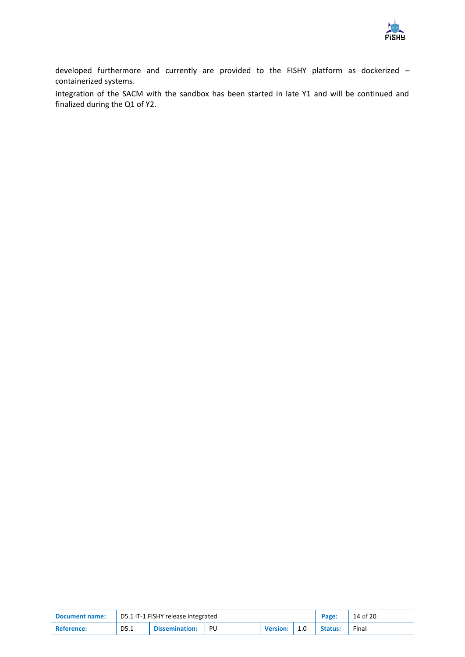

developed furthermore and currently are provided to the FISHY platform as dockerized – containerized systems.

Integration of the SACM with the sandbox has been started in late Y1 and will be continued and finalized during the Q1 of Y2.

| <b>Document name:</b> | D5.1 IT-1 FISHY release integrated |                       |    |                 |     |         | 14 of 20 |
|-----------------------|------------------------------------|-----------------------|----|-----------------|-----|---------|----------|
| <b>Reference:</b>     | D5.1                               | <b>Dissemination:</b> | PU | <b>Version:</b> | 1.0 | Status: | Final    |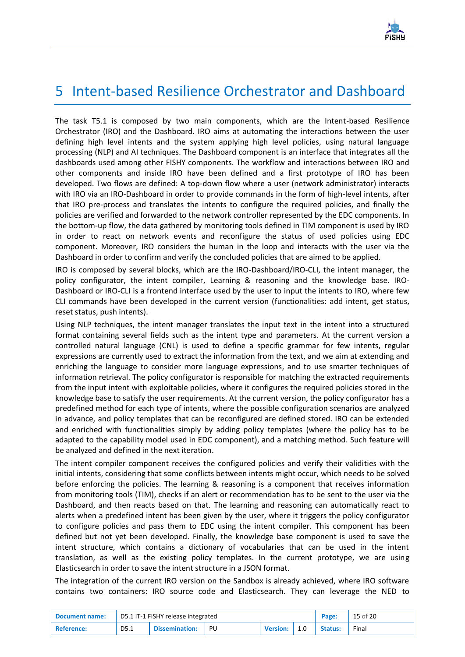

### <span id="page-14-0"></span>5 Intent-based Resilience Orchestrator and Dashboard

The task T5.1 is composed by two main components, which are the Intent-based Resilience Orchestrator (IRO) and the Dashboard. IRO aims at automating the interactions between the user defining high level intents and the system applying high level policies, using natural language processing (NLP) and AI techniques. The Dashboard component is an interface that integrates all the dashboards used among other FISHY components. The workflow and interactions between IRO and other components and inside IRO have been defined and a first prototype of IRO has been developed. Two flows are defined: A top-down flow where a user (network administrator) interacts with IRO via an IRO-Dashboard in order to provide commands in the form of high-level intents, after that IRO pre-process and translates the intents to configure the required policies, and finally the policies are verified and forwarded to the network controller represented by the EDC components. In the bottom-up flow, the data gathered by monitoring tools defined in TIM component is used by IRO in order to react on network events and reconfigure the status of used policies using EDC component. Moreover, IRO considers the human in the loop and interacts with the user via the Dashboard in order to confirm and verify the concluded policies that are aimed to be applied.

IRO is composed by several blocks, which are the IRO-Dashboard/IRO-CLI, the intent manager, the policy configurator, the intent compiler, Learning & reasoning and the knowledge base. IRO-Dashboard or IRO-CLI is a frontend interface used by the user to input the intents to IRO, where few CLI commands have been developed in the current version (functionalities: add intent, get status, reset status, push intents).

Using NLP techniques, the intent manager translates the input text in the intent into a structured format containing several fields such as the intent type and parameters. At the current version a controlled natural language (CNL) is used to define a specific grammar for few intents, regular expressions are currently used to extract the information from the text, and we aim at extending and enriching the language to consider more language expressions, and to use smarter techniques of information retrieval. The policy configurator is responsible for matching the extracted requirements from the input intent with exploitable policies, where it configures the required policies stored in the knowledge base to satisfy the user requirements. At the current version, the policy configurator has a predefined method for each type of intents, where the possible configuration scenarios are analyzed in advance, and policy templates that can be reconfigured are defined stored. IRO can be extended and enriched with functionalities simply by adding policy templates (where the policy has to be adapted to the capability model used in EDC component), and a matching method. Such feature will be analyzed and defined in the next iteration.

The intent compiler component receives the configured policies and verify their validities with the initial intents, considering that some conflicts between intents might occur, which needs to be solved before enforcing the policies. The learning & reasoning is a component that receives information from monitoring tools (TIM), checks if an alert or recommendation has to be sent to the user via the Dashboard, and then reacts based on that. The learning and reasoning can automatically react to alerts when a predefined intent has been given by the user, where it triggers the policy configurator to configure policies and pass them to EDC using the intent compiler. This component has been defined but not yet been developed. Finally, the knowledge base component is used to save the intent structure, which contains a dictionary of vocabularies that can be used in the intent translation, as well as the existing policy templates. In the current prototype, we are using Elasticsearch in order to save the intent structure in a JSON format.

The integration of the current IRO version on the Sandbox is already achieved, where IRO software contains two containers: IRO source code and Elasticsearch. They can leverage the NED to

| <b>Document name:</b> | D5.1 IT-1 FISHY release integrated |                          |  |                  |  |         | 15 of 20 |
|-----------------------|------------------------------------|--------------------------|--|------------------|--|---------|----------|
| <b>Reference:</b>     | D5.1                               | <b>Dissemination:</b> PU |  | Version: $ 1.0 $ |  | Status: | Final    |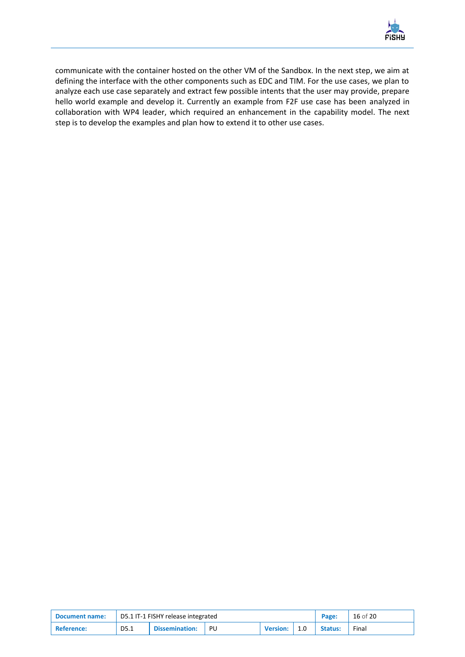

communicate with the container hosted on the other VM of the Sandbox. In the next step, we aim at defining the interface with the other components such as EDC and TIM. For the use cases, we plan to analyze each use case separately and extract few possible intents that the user may provide, prepare hello world example and develop it. Currently an example from F2F use case has been analyzed in collaboration with WP4 leader, which required an enhancement in the capability model. The next step is to develop the examples and plan how to extend it to other use cases.

| <b>Document name:</b> | D5.1 IT-1 FISHY release integrated |                       |    |                 |     | Page:   | 16 of 20 |
|-----------------------|------------------------------------|-----------------------|----|-----------------|-----|---------|----------|
| <b>Reference:</b>     | D5.1                               | <b>Dissemination:</b> | PU | <b>Version:</b> | 1.0 | Status: | Final    |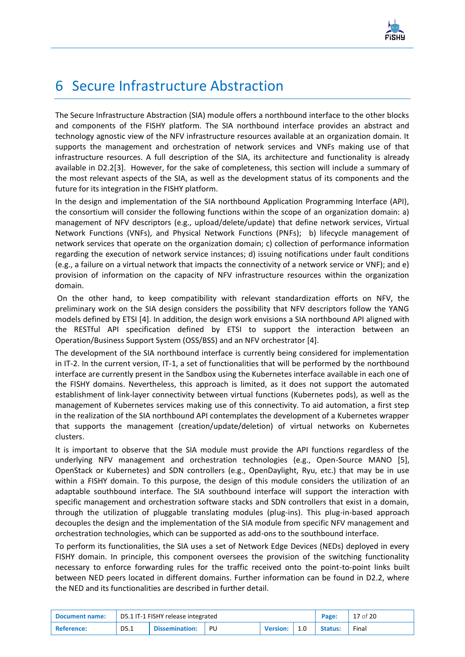

## <span id="page-16-0"></span>6 Secure Infrastructure Abstraction

The Secure Infrastructure Abstraction (SIA) module offers a northbound interface to the other blocks and components of the FISHY platform. The SIA northbound interface provides an abstract and technology agnostic view of the NFV infrastructure resources available at an organization domain. It supports the management and orchestration of network services and VNFs making use of that infrastructure resources. A full description of the SIA, its architecture and functionality is already available in D2.[2\[3\].](#page-19-9) However, for the sake of completeness, this section will include a summary of the most relevant aspects of the SIA, as well as the development status of its components and the future for its integration in the FISHY platform.

In the design and implementation of the SIA northbound Application Programming Interface (API), the consortium will consider the following functions within the scope of an organization domain: a) management of NFV descriptors (e.g., upload/delete/update) that define network services, Virtual Network Functions (VNFs), and Physical Network Functions (PNFs); b) lifecycle management of network services that operate on the organization domain; c) collection of performance information regarding the execution of network service instances; d) issuing notifications under fault conditions (e.g., a failure on a virtual network that impacts the connectivity of a network service or VNF); and e) provision of information on the capacity of NFV infrastructure resources within the organization domain.

On the other hand, to keep compatibility with relevant standardization efforts on NFV, the preliminary work on the SIA design considers the possibility that NFV descriptors follow the YANG models defined by ETSI [\[4\].](#page-19-10) In addition, the design work envisions a SIA northbound API aligned with the RESTful API specification defined by ETSI to support the interaction between an Operation/Business Support System (OSS/BSS) and an NFV orchestrator [\[4\].](#page-19-10)

The development of the SIA northbound interface is currently being considered for implementation in IT-2. In the current version, IT-1, a set of functionalities that will be performed by the northbound interface are currently present in the Sandbox using the Kubernetes interface available in each one of the FISHY domains. Nevertheless, this approach is limited, as it does not support the automated establishment of link-layer connectivity between virtual functions (Kubernetes pods), as well as the management of Kubernetes services making use of this connectivity. To aid automation, a first step in the realization of the SIA northbound API contemplates the development of a Kubernetes wrapper that supports the management (creation/update/deletion) of virtual networks on Kubernetes clusters.

It is important to observe that the SIA module must provide the API functions regardless of the underlying NFV management and orchestration technologies (e.g., Open-Source MANO [\[5\],](#page-19-11) OpenStack or Kubernetes) and SDN controllers (e.g., OpenDaylight, Ryu, etc.) that may be in use within a FISHY domain. To this purpose, the design of this module considers the utilization of an adaptable southbound interface. The SIA southbound interface will support the interaction with specific management and orchestration software stacks and SDN controllers that exist in a domain, through the utilization of pluggable translating modules (plug-ins). This plug-in-based approach decouples the design and the implementation of the SIA module from specific NFV management and orchestration technologies, which can be supported as add-ons to the southbound interface.

To perform its functionalities, the SIA uses a set of Network Edge Devices (NEDs) deployed in every FISHY domain. In principle, this component oversees the provision of the switching functionality necessary to enforce forwarding rules for the traffic received onto the point-to-point links built between NED peers located in different domains. Further information can be found in D2.2, where the NED and its functionalities are described in further detail.

| <b>Document name:</b> | D5.1 IT-1 FISHY release integrated |                          |  |                  |  | Page:   | $17$ of 20 |
|-----------------------|------------------------------------|--------------------------|--|------------------|--|---------|------------|
| <b>Reference:</b>     | D5.1                               | <b>Dissemination:</b> PU |  | Version: $ 1.0 $ |  | Status: | Final      |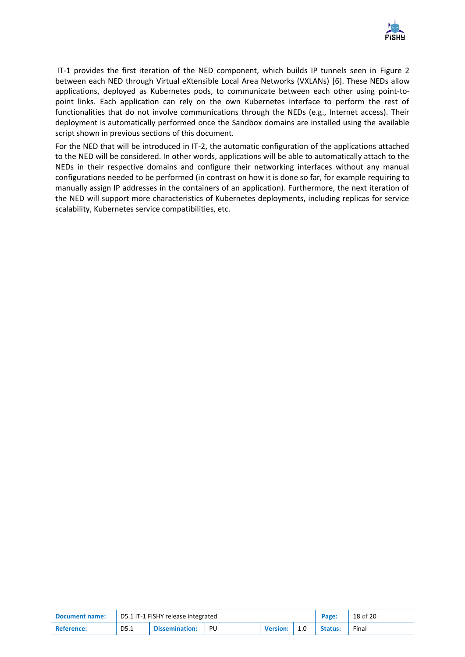

IT-1 provides the first iteration of the NED component, which builds IP tunnels seen in Figure 2 between each NED through Virtual eXtensible Local Area Networks (VXLANs) [\[6\].](#page-19-12) These NEDs allow applications, deployed as Kubernetes pods, to communicate between each other using point-topoint links. Each application can rely on the own Kubernetes interface to perform the rest of functionalities that do not involve communications through the NEDs (e.g., Internet access). Their deployment is automatically performed once the Sandbox domains are installed using the available script shown in previous sections of this document.

For the NED that will be introduced in IT-2, the automatic configuration of the applications attached to the NED will be considered. In other words, applications will be able to automatically attach to the NEDs in their respective domains and configure their networking interfaces without any manual configurations needed to be performed (in contrast on how it is done so far, for example requiring to manually assign IP addresses in the containers of an application). Furthermore, the next iteration of the NED will support more characteristics of Kubernetes deployments, including replicas for service scalability, Kubernetes service compatibilities, etc.

| <b>Document name:</b> | D5.1 IT-1 FISHY release integrated |                       |    |                 |     | Page:          | 18 of 20 |
|-----------------------|------------------------------------|-----------------------|----|-----------------|-----|----------------|----------|
| <b>Reference:</b>     | D5.1                               | <b>Dissemination:</b> | PU | <b>Version:</b> | 1.0 | <b>Status:</b> | Final    |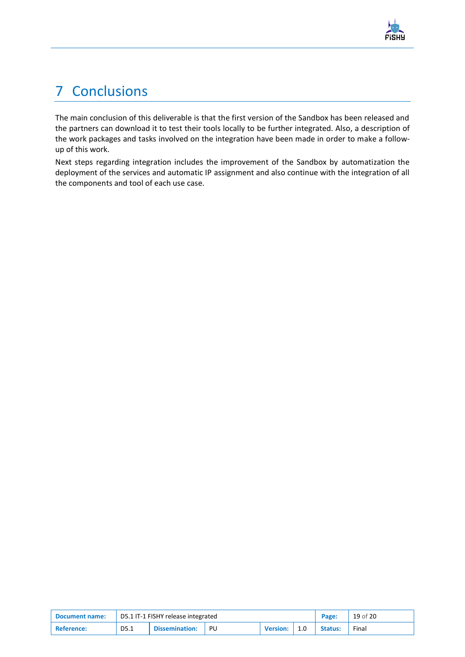

## <span id="page-18-0"></span>7 Conclusions

The main conclusion of this deliverable is that the first version of the Sandbox has been released and the partners can download it to test their tools locally to be further integrated. Also, a description of the work packages and tasks involved on the integration have been made in order to make a followup of this work.

Next steps regarding integration includes the improvement of the Sandbox by automatization the deployment of the services and automatic IP assignment and also continue with the integration of all the components and tool of each use case.

| <b>Document name:</b> | D5.1 IT-1 FISHY release integrated |                       |    |                 |     | Page:          | 19 of 20 |
|-----------------------|------------------------------------|-----------------------|----|-----------------|-----|----------------|----------|
| <b>Reference:</b>     | D5.1                               | <b>Dissemination:</b> | PU | <b>Version:</b> | 1.0 | <b>Status:</b> | Final    |